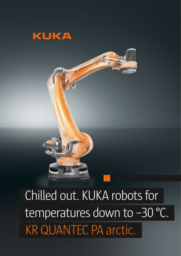



 Chilled out. KUKA robots for temperatures down to -30 °C. KR QUANTEC PA arctic.